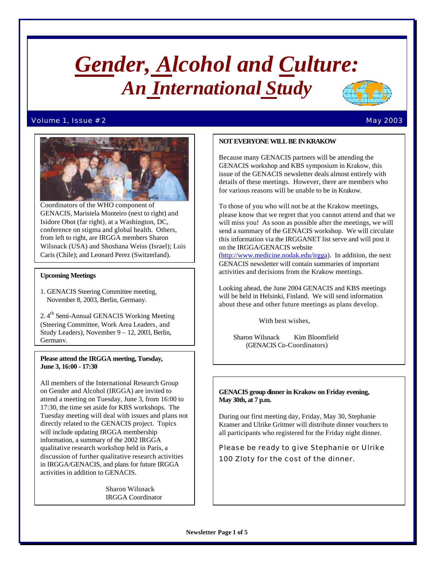# *Gender, Alcohol and Culture: An International Study*

# Volume 1, Issue # 2  $\hbox{May 2003}$



Coordinators of the WHO component of GENACIS, Maristela Monteiro (next to right) and Isidore Obot (far right), at a Washington, DC, conference on stigma and global health. Others, from left to right, are IRGGA members Sharon Wilsnack (USA) and Shoshana Weiss (Israel); Luis Caris (Chile); and Leonard Perez (Switzerland).

#### **Upcoming Meetings**

1. GENACIS Steering Committee meeting, November 8, 2003, Berlin, Germany.

2. 4th Semi-Annual GENACIS Working Meeting (Steering Committee, Work Area Leaders, and Study Leaders), November 9 – 12, 2003, Berlin, Germany.

### **Please attend the IRGGA meeting, Tuesday, June 3, 16:00 - 17:30**

All members of the International Research Group on Gender and Alcohol (IRGGA) are invited to attend a meeting on Tuesday, June 3, from 16:00 to 17:30, the time set aside for KBS workshops. The Tuesday meeting will deal with issues and plans not directly related to the GENACIS project. Topics will include updating IRGGA membership information, a summary of the 2002 IRGGA qualitative research workshop held in Paris, a discussion of further qualitative research activities in IRGGA/GENACIS, and plans for future IRGGA activities in addition to GENACIS.

> Sharon Wilsnack IRGGA Coordinator

# **NOT EVERYONE WILL BE IN KRAKOW**

Because many GENACIS partners will be attending the GENACIS workshop and KBS symposium in Krakow, this issue of the GENACIS newsletter deals almost entirely with details of these meetings. However, there are members who for various reasons will be unable to be in Krakow.

To those of you who will not be at the Krakow meetings, please know that we regret that you cannot attend and that we will miss you! As soon as possible after the meetings, we will send a summary of the GENACIS workshop. We will circulate this information via the IRGGANET list serve and will post it on the IRGGA/GENACIS website

(http://www.medicine.nodak.edu/irgga). In addition, the next GENACIS newsletter will contain summaries of important activities and decisions from the Krakow meetings.

Looking ahead, the June 2004 GENACIS and KBS meetings will be held in Helsinki, Finland. We will send information about these and other future meetings as plans develop.

With best wishes,

 Sharon Wilsnack Kim Bloomfield (GENACIS Co-Coordinators)

#### **GENACIS group dinner in Krakow on Friday evening, May 30th, at 7 p.m.**

During our first meeting day, Friday, May 30, Stephanie Kramer and Ulrike Grittner will distribute dinner vouchers to all participants who registered for the Friday night dinner.

Please be ready to give Stephanie or Ulrike 100 Zloty for the cost of the dinner.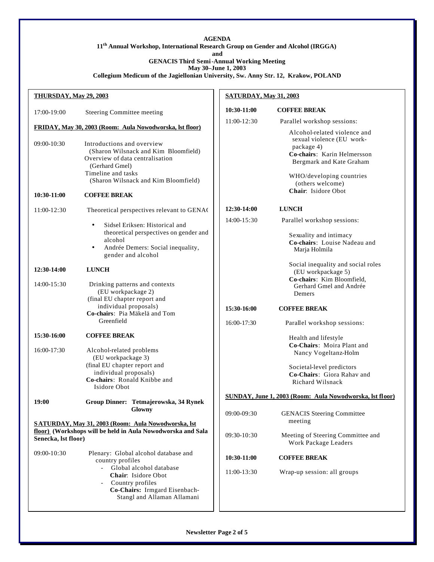#### **AGENDA 11th Annual Workshop, International Research Group on Gender and Alcohol (IRGGA) and GENACIS Third Semi-Annual Working Meeting**

**May 30–June 1, 2003**

**Collegium Medicum of the Jagiellonian University, Sw. Anny Str. 12, Krakow, POLAND**

| <b>THURSDAY, May 29, 2003</b>                                                      |                                                                                                                                                                                                              | <b>SATURDAY, May 31, 2003</b> |                                                                                                                                                                                                           |
|------------------------------------------------------------------------------------|--------------------------------------------------------------------------------------------------------------------------------------------------------------------------------------------------------------|-------------------------------|-----------------------------------------------------------------------------------------------------------------------------------------------------------------------------------------------------------|
| 17:00-19:00                                                                        | Steering Committee meeting                                                                                                                                                                                   | 10:30-11:00                   | <b>COFFEE BREAK</b>                                                                                                                                                                                       |
|                                                                                    | FRIDAY, May 30, 2003 (Room: Aula Nowodworska, lst floor)                                                                                                                                                     | 11:00-12:30                   | Parallel workshop sessions:                                                                                                                                                                               |
| 09:00-10:30<br>10:30-11:00                                                         | Introductions and overview<br>(Sharon Wilsnack and Kim Bloomfield)<br>Overview of data centralisation<br>(Gerhard Gmel)<br>Timeline and tasks<br>(Sharon Wilsnack and Kim Bloomfield)<br><b>COFFEE BREAK</b> |                               | Alcohol-related violence and<br>sexual violence (EU work-<br>package 4)<br>Co-chairs: Karin Helmersson<br>Bergmark and Kate Graham<br>WHO/developing countries<br>(others welcome)<br>Chair: Isidore Obot |
| 11:00-12:30                                                                        | Theoretical perspectives relevant to GENA(                                                                                                                                                                   | 12:30-14:00                   | <b>LUNCH</b>                                                                                                                                                                                              |
|                                                                                    | Sidsel Eriksen: Historical and<br>$\bullet$<br>theoretical perspectives on gender and<br>alcohol<br>Andrée Demers: Social inequality,<br>$\bullet$<br>gender and alcohol                                     | 14:00-15:30                   | Parallel workshop sessions:<br>Sexuality and intimacy<br>Co-chairs: Louise Nadeau and<br>Marja Holmila                                                                                                    |
| 12:30-14:00                                                                        | <b>LUNCH</b>                                                                                                                                                                                                 |                               | Social inequality and social roles<br>(EU workpackage 5)                                                                                                                                                  |
| 14:00-15:30                                                                        | Drinking patterns and contexts<br>(EU workpackage 2)<br>(final EU chapter report and                                                                                                                         |                               | Co-chairs: Kim Bloomfield,<br>Gerhard Gmel and Andrée<br>Demers                                                                                                                                           |
|                                                                                    | individual proposals)<br>Co-chairs: Pia Mäkelä and Tom                                                                                                                                                       | 15:30-16:00                   | <b>COFFEE BREAK</b>                                                                                                                                                                                       |
|                                                                                    | Greenfield                                                                                                                                                                                                   | 16:00-17:30                   | Parallel workshop sessions:                                                                                                                                                                               |
| 15:30-16:00                                                                        | <b>COFFEE BREAK</b>                                                                                                                                                                                          |                               | Health and lifestyle                                                                                                                                                                                      |
| 16:00-17:30                                                                        | Alcohol-related problems<br>(EU workpackage 3)<br>(final EU chapter report and<br>individual proposals)<br>Co-chairs: Ronald Knibbe and<br>Isidore Obot                                                      |                               | Co-Chairs: Moira Plant and<br>Nancy Vogeltanz-Holm<br>Societal-level predictors<br>Co-Chairs: Giora Rahav and<br>Richard Wilsnack                                                                         |
| 19:00                                                                              | Group Dinner: Tetmajerowska, 34 Rynek                                                                                                                                                                        |                               | SUNDAY, June 1, 2003 (Room: Aula Nowodworska, lst floor)                                                                                                                                                  |
| Glowny<br><b>SATURDAY, May 31, 2003 (Room: Aula Nowodworska, lst</b>               |                                                                                                                                                                                                              | 09:00-09:30                   | <b>GENACIS Steering Committee</b><br>meeting                                                                                                                                                              |
| floor) (Workshops will be held in Aula Nowodworska and Sala<br>Senecka, lst floor) |                                                                                                                                                                                                              | 09:30-10:30                   | Meeting of Steering Committee and<br>Work Package Leaders                                                                                                                                                 |
| 09:00-10:30                                                                        | Plenary: Global alcohol database and<br>country profiles                                                                                                                                                     | 10:30-11:00                   | <b>COFFEE BREAK</b>                                                                                                                                                                                       |
|                                                                                    | - Global alcohol database<br>Chair: Isidore Obot<br>Country profiles<br>$\overline{\phantom{0}}$<br>Co-Chairs: Irmgard Eisenbach-<br>Stangl and Allaman Allamani                                             | 11:00-13:30                   | Wrap-up session: all groups                                                                                                                                                                               |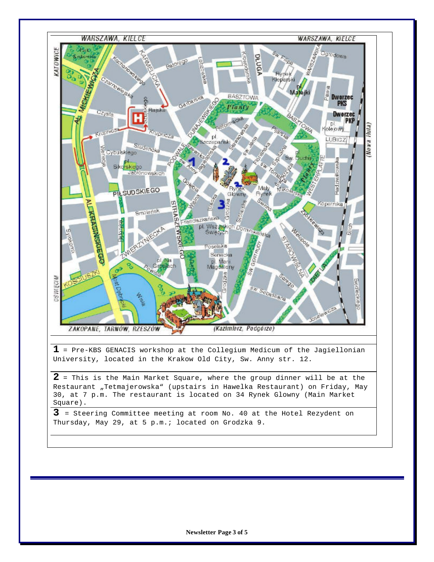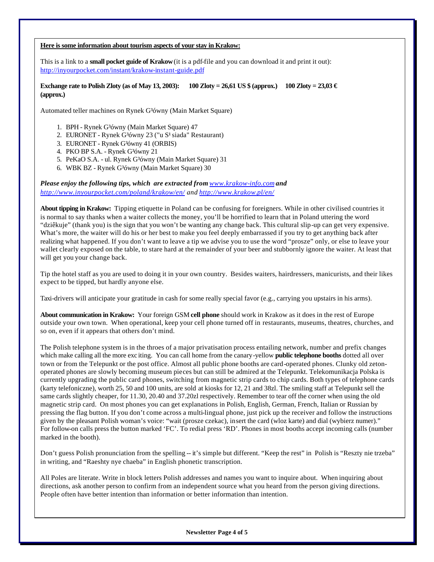#### **Here is some information about tourism aspects of your stay in Krakow:**

This is a link to a **small pocket guide of Krakow** (it is a pdf-file and you can download it and print it out): http://inyourpocket.com/instant/krakow-instant-guide.pdf

#### Exchange rate to Polish Zloty (as of May 13, 2003):  $100$  Zloty = 26,61 US \$ (approx.)  $100$  Zloty = 23,03  $\in$ **(approx.)**

Automated teller machines on Rynek G<sup>3</sup>ówny (Main Market Square)

- 1. BPH Rynek G<sup>3</sup>ówny (Main Market Square) 47
- 2. EURONET Rynek G $36$ wny 23 ("u S $1$ siada" Restaurant)
- 3. EURONET Rynek G³ówny 41 (ORBIS)
- 4. PKO BP S.A. Rynek G³ówny 21
- 5. PeKaO S.A. ul. Rynek G<sup>3</sup>ówny (Main Market Square) 31
- 6. WBK BZ Rynek G³ówny (Main Market Square) 30

*Please enjoy the following tips, which are extracted from www.krakow-info.com and http://www.inyourpocket.com/poland/krakow/en/ and http://www.krakow.pl/en/*

**About tipping in Krakow:** Tipping etiquette in Poland can be confusing for foreigners. While in other civilised countries it is normal to say thanks when a waiter collects the money, you'll be horrified to learn that in Poland uttering the word "dziêkuje" (thank you) is the sign that you won't be wanting any change back. This cultural slip-up can get very expensive. What's more, the waiter will do his or her best to make you feel deeply embarrassed if you try to get anything back after realizing what happened. If you don't want to leave a tip we advise you to use the word "prosze" only, or else to leave your wallet clearly exposed on the table, to stare hard at the remainder of your beer and stubbornly ignore the waiter. At least that will get you your change back.

Tip the hotel staff as you are used to doing it in your own country. Besides waiters, hairdressers, manicurists, and their likes expect to be tipped, but hardly anyone else.

Taxi-drivers will anticipate your gratitude in cash for some really special favor (e.g., carrying you upstairs in his arms).

**About communication in Krakow:** Your foreign GSM **cell phone** should work in Krakow as it does in the rest of Europe outside your own town. When operational, keep your cell phone turned off in restaurants, museums, theatres, churches, and so on, even if it appears that others don't mind.

The Polish telephone system is in the throes of a major privatisation process entailing network, number and prefix changes which make calling all the more exc iting. You can call home from the canary-yellow **public telephone booths** dotted all over town or from the Telepunkt or the post office. Almost all public phone booths are card-operated phones. Clunky old zetonoperated phones are slowly becoming museum pieces but can still be admired at the Telepunkt. Telekomunikacja Polska is currently upgrading the public card phones, switching from magnetic strip cards to chip cards. Both types of telephone cards (karty telefoniczne), worth 25, 50 and 100 units, are sold at kiosks for 12, 21 and 38zl. The smiling staff at Telepunkt sell the same cards slightly cheaper, for 11.30, 20.40 and 37.20zl respectively. Remember to tear off the corner when using the old magnetic strip card. On most phones you can get explanations in Polish, English, German, French, Italian or Russian by pressing the flag button. If you don't come across a multi-lingual phone, just pick up the receiver and follow the instructions given by the pleasant Polish woman's voice: "wait (prosze czekac), insert the card (wloz karte) and dial (wybierz numer)." For follow-on calls press the button marked 'FC'. To redial press 'RD'. Phones in most booths accept incoming calls (number marked in the booth).

Don't guess Polish pronunciation from the spelling -- it's simple but different. "Keep the rest" in Polish is "Reszty nie trzeba" in writing, and "Raeshty nye chaeba" in English phonetic transcription.

All Poles are literate. Write in block letters Polish addresses and names you want to inquire about. When inquiring about directions, ask another person to confirm from an independent source what you heard from the person giving directions. People often have better intention than information or better information than intention.